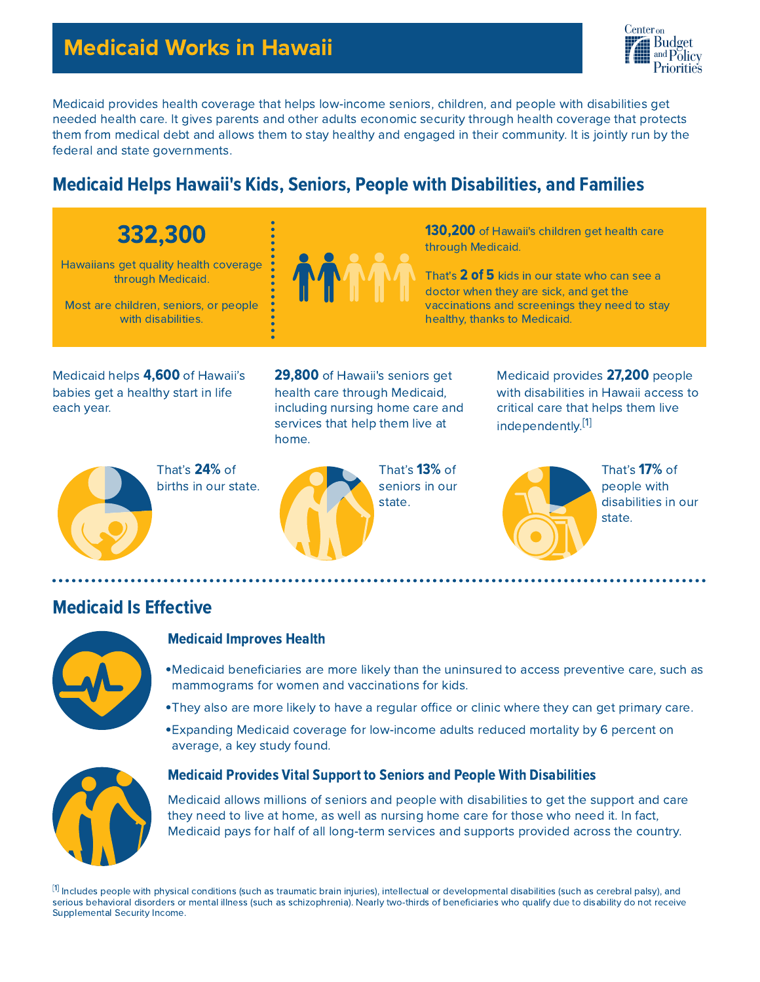# Medicaid Works in Hawaii



Medicaid provides health coverage that helps low-income seniors, children, and people with disabilities get needed health care. It gives parents and other adults economic security through health coverage that protects them from medical debt and allows them to stay healthy and engaged in their community. It is jointly run by the federal and state governments.

## **Medicaid Helps Hawaii's Kids, Seniors, People with Disabilities, and Families**

# 332,300

Hawaiians get quality health coverage through Medicaid.

Most are children, seniors, or people with disabilities.



130,200 of Hawaii's children get health care through Medicaid.

That's 2 of 5 kids in our state who can see a doctor when they are sick, and get the vaccinations and screenings they need to stay healthy, thanks to Medicaid.

Medicaid helps 4,600 of Hawaii's babies get a healthy start in life each year.

29,800 of Hawaii's seniors get health care through Medicaid, including nursing home care and services that help them live at home.

That's 24% of births in our state.



That's 13% of seniors in our state.

Medicaid provides 27,200 people with disabilities in Hawaii access to critical care that helps them live independently.<sup>[1]</sup>



That's 17% of people with disabilities in our state.

## **Medicaid Is Effective**



#### Medicaid Improves Health

- Medicaid beneficiaries are more likely than the uninsured to access preventive care, such as mammograms for women and vaccinations for kids.
- They also are more likely to have a regular office or clinic where they can get primary care.
- Expanding Medicaid coverage for low-income adults reduced mortality by 6 percent on average, a key study found.



#### **Medicaid Provides Vital Support to Seniors and People With Disabilities**

Medicaid allows millions of seniors and people with disabilities to get the support and care they need to live at home, as well as nursing home care for those who need it. In fact, Medicaid pays for half of all long-term services and supports provided across the country.

 $^{\lbrack 1]}$  Includes people with physical conditions (such as traumatic brain injuries), intellectual or developmental disabilities (such as cerebral palsy), and serious behavioral disorders or mental illness (such as schizophrenia). Nearly two-thirds of beneficiaries who qualify due to disability do not receive Supplemental Security Income.